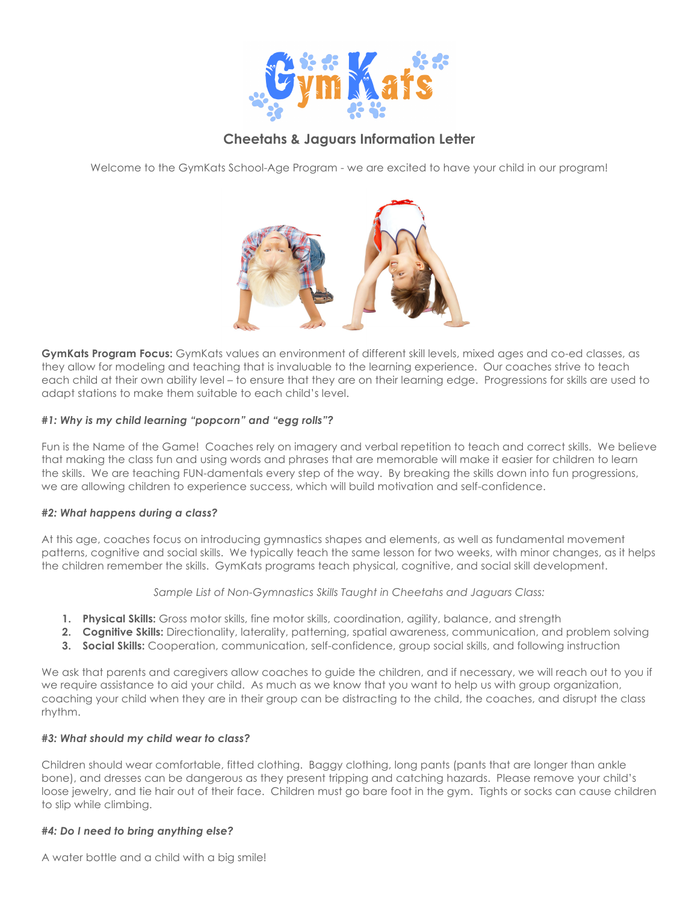

# **Cheetahs & Jaguars Information Letter**

Welcome to the GymKats School-Age Program - we are excited to have your child in our program!



**GymKats Program Focus:** GymKats values an environment of different skill levels, mixed ages and co-ed classes, as they allow for modeling and teaching that is invaluable to the learning experience. Our coaches strive to teach each child at their own ability level – to ensure that they are on their learning edge. Progressions for skills are used to adapt stations to make them suitable to each child's level.

## *#1: Why is my child learning "popcorn" and "egg rolls"?*

Fun is the Name of the Game! Coaches rely on imagery and verbal repetition to teach and correct skills. We believe that making the class fun and using words and phrases that are memorable will make it easier for children to learn the skills. We are teaching FUN-damentals every step of the way. By breaking the skills down into fun progressions, we are allowing children to experience success, which will build motivation and self-confidence.

## *#2: What happens during a class?*

At this age, coaches focus on introducing gymnastics shapes and elements, as well as fundamental movement patterns, cognitive and social skills. We typically teach the same lesson for two weeks, with minor changes, as it helps the children remember the skills. GymKats programs teach physical, cognitive, and social skill development.

*Sample List of Non-Gymnastics Skills Taught in Cheetahs and Jaguars Class:*

- **1. Physical Skills:** Gross motor skills, fine motor skills, coordination, agility, balance, and strength
- **2. Cognitive Skills:** Directionality, laterality, patterning, spatial awareness, communication, and problem solving
- **3. Social Skills:** Cooperation, communication, self-confidence, group social skills, and following instruction

We ask that parents and caregivers allow coaches to guide the children, and if necessary, we will reach out to you if we require assistance to aid your child. As much as we know that you want to help us with group organization, coaching your child when they are in their group can be distracting to the child, the coaches, and disrupt the class rhythm.

## *#3: What should my child wear to class?*

Children should wear comfortable, fitted clothing. Baggy clothing, long pants (pants that are longer than ankle bone), and dresses can be dangerous as they present tripping and catching hazards. Please remove your child's loose jewelry, and tie hair out of their face. Children must go bare foot in the gym. Tights or socks can cause children to slip while climbing.

## *#4: Do I need to bring anything else?*

A water bottle and a child with a big smile!